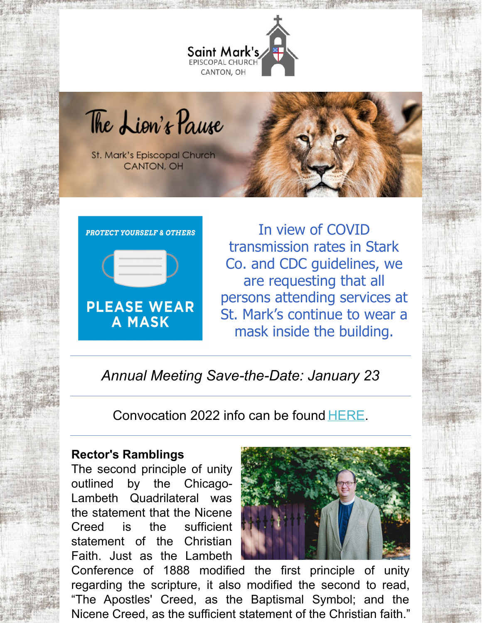

The Lion's Pause

St. Mark's Episcopal Church **CANTON, OH** 



In view of COVID transmission rates in Stark Co. and CDC guidelines, we are requesting that all persons attending services at St. Mark's continue to wear a mask inside the building.

*Annual Meeting Save-the-Date: January 23*

Convocation 2022 info can be found [HERE](https://myemail.constantcontact.com/Convocation-2022---REGISTER-NOW-.html?soid=1116698298572&aid=vhSbjpMCywk).

### **Rector's Ramblings**

The second principle of unity outlined by the Chicago-Lambeth Quadrilateral was the statement that the Nicene Creed is the sufficient statement of the Christian Faith. Just as the Lambeth



Conference of 1888 modified the first principle of unity regarding the scripture, it also modified the second to read, "The Apostles' Creed, as the Baptismal Symbol; and the Nicene Creed, as the sufficient statement of the Christian faith."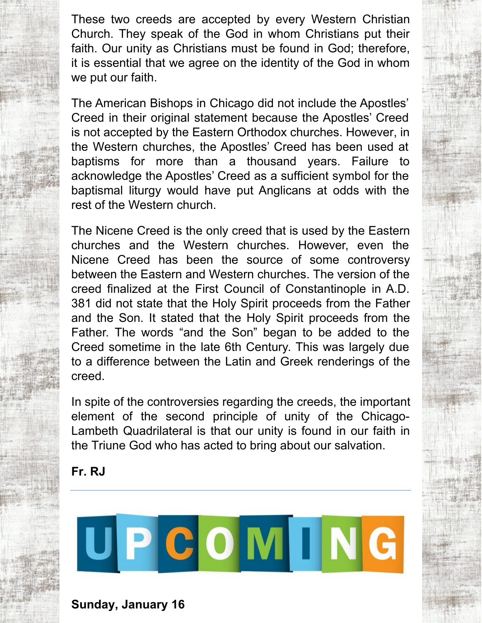These two creeds are accepted by every Western Christian Church. They speak of the God in whom Christians put their faith. Our unity as Christians must be found in God; therefore, it is essential that we agree on the identity of the God in whom we put our faith.

The American Bishops in Chicago did not include the Apostles' Creed in their original statement because the Apostles' Creed is not accepted by the Eastern Orthodox churches. However, in the Western churches, the Apostles' Creed has been used at baptisms for more than a thousand years. Failure to acknowledge the Apostles' Creed as a sufficient symbol for the baptismal liturgy would have put Anglicans at odds with the rest of the Western church.

The Nicene Creed is the only creed that is used by the Eastern churches and the Western churches. However, even the Nicene Creed has been the source of some controversy between the Eastern and Western churches. The version of the creed finalized at the First Council of Constantinople in A.D. 381 did not state that the Holy Spirit proceeds from the Father and the Son. It stated that the Holy Spirit proceeds from the Father. The words "and the Son" began to be added to the Creed sometime in the late 6th Century. This was largely due to a difference between the Latin and Greek renderings of the creed.

In spite of the controversies regarding the creeds, the important element of the second principle of unity of the Chicago-Lambeth Quadrilateral is that our unity is found in our faith in the Triune God who has acted to bring about our salvation.

**Fr. RJ**

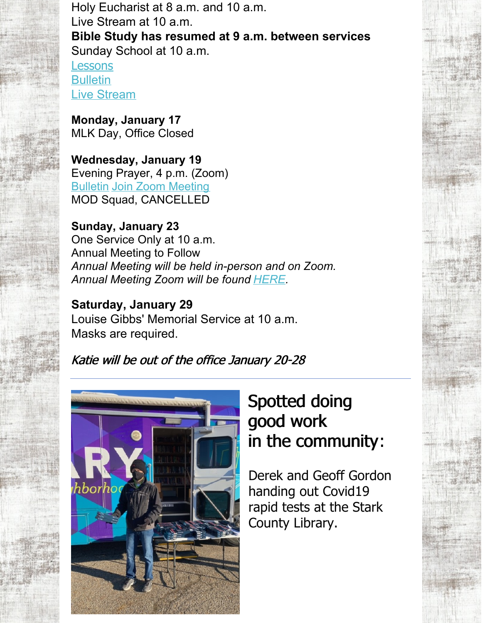Holy Eucharist at 8 a.m. and 10 a.m. Live Stream at 10 a.m. **Bible Study has resumed at 9 a.m. between services** Sunday School at 10 a.m. [Lessons](http://lectionarypage.net/YearC_RCL/Epiphany/CEpi2_RCL.html#Ot1)

**[Bulletin](https://files.constantcontact.com/32ed7374201/c10874bb-e338-45eb-b0b7-e88a79e05c8f.pdf)** Live [Stream](https://www.facebook.com/stmarks.canton)

**Monday, January 17** MLK Day, Office Closed

**Wednesday, January 19** Evening Prayer, 4 p.m. (Zoom) [Bulletin](https://files.constantcontact.com/32ed7374201/f58c6c7a-6148-4d9c-99f1-d5c8800392cd.pdf) Join Zoom [Meeting](https://us06web.zoom.us/j/85968199925?pwd=YnJYUzJRS01rNWdJUUJzVzlOSVFMUT09) MOD Squad, CANCELLED

**Sunday, January 23** One Service Only at 10 a.m. Annual Meeting to Follow *Annual Meeting will be held in-person and on Zoom. Annual Meeting Zoom will be found [HERE](https://us06web.zoom.us/j/87365533239?pwd=Nm1PUjdKeVY0S1NJWm4wV3hWRysrQT09).*

**Saturday, January 29** Louise Gibbs' Memorial Service at 10 a.m. Masks are required.

Katie will be out of the office January 20-28



# Spotted doing good work in the community:

Derek and Geoff Gordon handing out Covid19 rapid tests at the Stark County Library.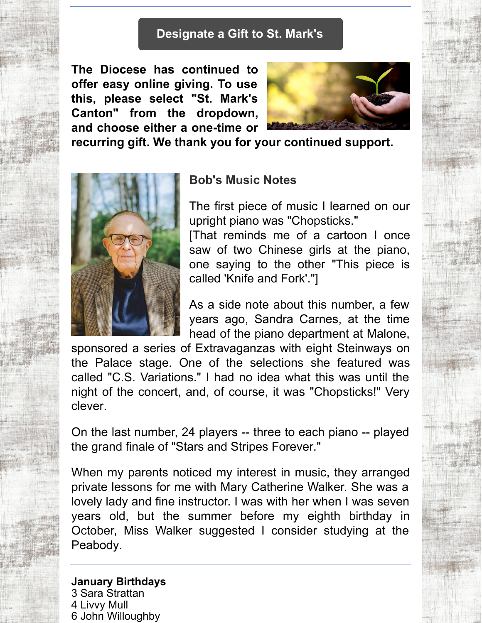### **[Designate](https://dohio.org/designate-a-gift-to-your-parish) a Gift to St. Mark's**

**The Diocese has continued to offer easy online giving. To use this, please select "St. Mark's Canton" from the dropdown, and choose either a one-time or**



**recurring gift. We thank you for your continued support.**



#### **Bob's Music Notes**

The first piece of music I learned on our upright piano was "Chopsticks."

[That reminds me of a cartoon I once saw of two Chinese girls at the piano, one saying to the other "This piece is called 'Knife and Fork'."]

As a side note about this number, a few years ago, Sandra Carnes, at the time head of the piano department at Malone,

sponsored a series of Extravaganzas with eight Steinways on the Palace stage. One of the selections she featured was called "C.S. Variations." I had no idea what this was until the night of the concert, and, of course, it was "Chopsticks!" Very clever.

On the last number, 24 players -- three to each piano -- played the grand finale of "Stars and Stripes Forever."

When my parents noticed my interest in music, they arranged private lessons for me with Mary Catherine Walker. She was a lovely lady and fine instructor. I was with her when I was seven years old, but the summer before my eighth birthday in October, Miss Walker suggested I consider studying at the Peabody.

**January Birthdays** Sara Strattan Livvy Mull John Willoughby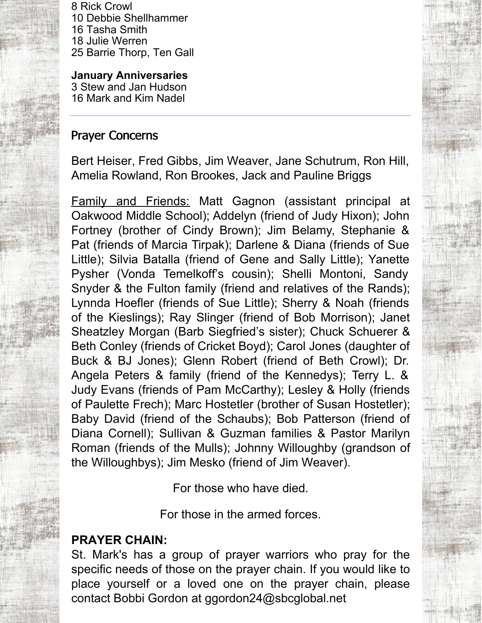Rick Crowl Debbie Shellhammer Tasha Smith Julie Werren Barrie Thorp, Ten Gall

**January Anniversaries** 3 Stew and Jan Hudson

16 Mark and Kim Nadel

## Prayer Concerns

Bert Heiser, Fred Gibbs, Jim Weaver, Jane Schutrum, Ron Hill, Amelia Rowland, Ron Brookes, Jack and Pauline Briggs

Family and Friends: Matt Gagnon (assistant principal at Oakwood Middle School); Addelyn (friend of Judy Hixon); John Fortney (brother of Cindy Brown); Jim Belamy, Stephanie & Pat (friends of Marcia Tirpak); Darlene & Diana (friends of Sue Little); Silvia Batalla (friend of Gene and Sally Little); Yanette Pysher (Vonda Temelkoff's cousin); Shelli Montoni, Sandy Snyder & the Fulton family (friend and relatives of the Rands); Lynnda Hoefler (friends of Sue Little); Sherry & Noah (friends of the Kieslings); Ray Slinger (friend of Bob Morrison); Janet Sheatzley Morgan (Barb Siegfried's sister); Chuck Schuerer & Beth Conley (friends of Cricket Boyd); Carol Jones (daughter of Buck & BJ Jones); Glenn Robert (friend of Beth Crowl); Dr. Angela Peters & family (friend of the Kennedys); Terry L. & Judy Evans (friends of Pam McCarthy); Lesley & Holly (friends of Paulette Frech); Marc Hostetler (brother of Susan Hostetler); Baby David (friend of the Schaubs); Bob Patterson (friend of Diana Cornell); Sullivan & Guzman families & Pastor Marilyn Roman (friends of the Mulls); Johnny Willoughby (grandson of the Willoughbys); Jim Mesko (friend of Jim Weaver).

For those who have died.

For those in the armed forces.

# **PRAYER CHAIN:**

St. Mark's has a group of prayer warriors who pray for the specific needs of those on the prayer chain. If you would like to place yourself or a loved one on the prayer chain, please contact Bobbi Gordon at ggordon24@sbcglobal.net